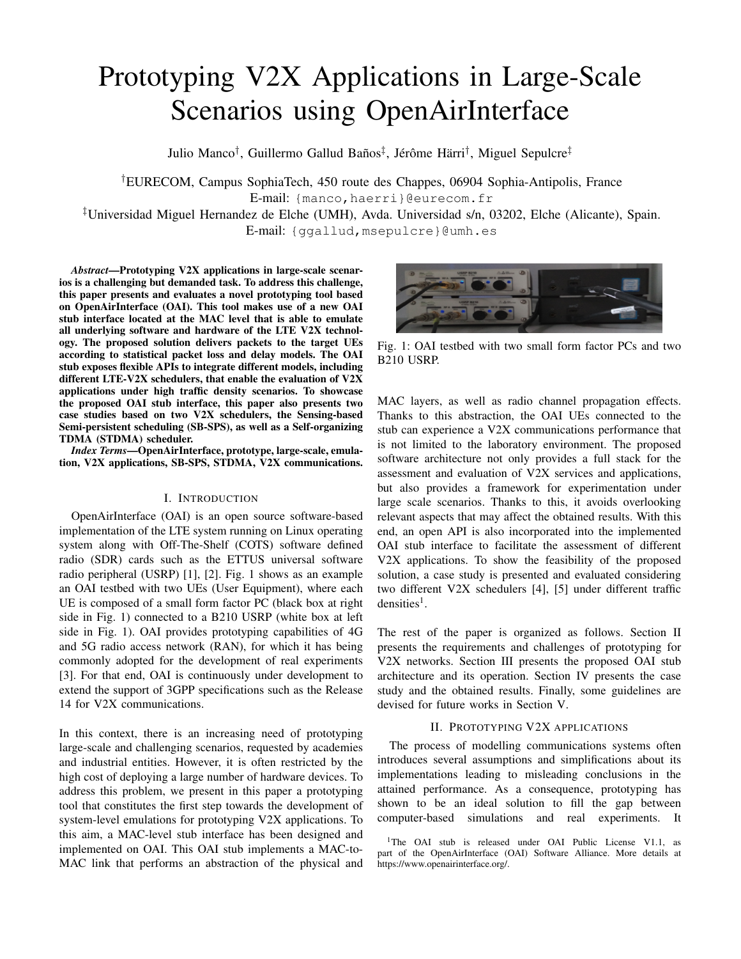# Prototyping V2X Applications in Large-Scale Scenarios using OpenAirInterface

Julio Manco<sup>†</sup>, Guillermo Gallud Baños<sup>‡</sup>, Jérôme Härri<sup>†</sup>, Miguel Sepulcre<sup>‡</sup>

†EURECOM, Campus SophiaTech, 450 route des Chappes, 06904 Sophia-Antipolis, France E-mail: {manco,haerri}@eurecom.fr

‡Universidad Miguel Hernandez de Elche (UMH), Avda. Universidad s/n, 03202, Elche (Alicante), Spain. E-mail: {ggallud,msepulcre}@umh.es

*Abstract*—Prototyping V2X applications in large-scale scenarios is a challenging but demanded task. To address this challenge, this paper presents and evaluates a novel prototyping tool based on OpenAirInterface (OAI). This tool makes use of a new OAI stub interface located at the MAC level that is able to emulate all underlying software and hardware of the LTE V2X technology. The proposed solution delivers packets to the target UEs according to statistical packet loss and delay models. The OAI

stub exposes flexible APIs to integrate different models, including different LTE-V2X schedulers, that enable the evaluation of V2X applications under high traffic density scenarios. To showcase the proposed OAI stub interface, this paper also presents two case studies based on two V2X schedulers, the Sensing-based Semi-persistent scheduling (SB-SPS), as well as a Self-organizing TDMA (STDMA) scheduler.

*Index Terms*—OpenAirInterface, prototype, large-scale, emulation, V2X applications, SB-SPS, STDMA, V2X communications.

## I. INTRODUCTION

OpenAirInterface (OAI) is an open source software-based implementation of the LTE system running on Linux operating system along with Off-The-Shelf (COTS) software defined radio (SDR) cards such as the ETTUS universal software radio peripheral (USRP) [1], [2]. Fig. 1 shows as an example an OAI testbed with two UEs (User Equipment), where each UE is composed of a small form factor PC (black box at right side in Fig. 1) connected to a B210 USRP (white box at left side in Fig. 1). OAI provides prototyping capabilities of 4G and 5G radio access network (RAN), for which it has being commonly adopted for the development of real experiments [3]. For that end, OAI is continuously under development to extend the support of 3GPP specifications such as the Release 14 for V2X communications.

In this context, there is an increasing need of prototyping large-scale and challenging scenarios, requested by academies and industrial entities. However, it is often restricted by the high cost of deploying a large number of hardware devices. To address this problem, we present in this paper a prototyping tool that constitutes the first step towards the development of system-level emulations for prototyping V2X applications. To this aim, a MAC-level stub interface has been designed and implemented on OAI. This OAI stub implements a MAC-to-MAC link that performs an abstraction of the physical and



Fig. 1: OAI testbed with two small form factor PCs and two B210 USRP.

MAC layers, as well as radio channel propagation effects. Thanks to this abstraction, the OAI UEs connected to the stub can experience a V2X communications performance that is not limited to the laboratory environment. The proposed software architecture not only provides a full stack for the assessment and evaluation of V2X services and applications, but also provides a framework for experimentation under large scale scenarios. Thanks to this, it avoids overlooking relevant aspects that may affect the obtained results. With this end, an open API is also incorporated into the implemented OAI stub interface to facilitate the assessment of different V2X applications. To show the feasibility of the proposed solution, a case study is presented and evaluated considering two different V2X schedulers [4], [5] under different traffic  $densities<sup>1</sup>$ .

The rest of the paper is organized as follows. Section II presents the requirements and challenges of prototyping for V2X networks. Section III presents the proposed OAI stub architecture and its operation. Section IV presents the case study and the obtained results. Finally, some guidelines are devised for future works in Section V.

# II. PROTOTYPING V2X APPLICATIONS

The process of modelling communications systems often introduces several assumptions and simplifications about its implementations leading to misleading conclusions in the attained performance. As a consequence, prototyping has shown to be an ideal solution to fill the gap between computer-based simulations and real experiments. It

<sup>&</sup>lt;sup>1</sup>The OAI stub is released under OAI Public License V1.1, as part of the OpenAirInterface (OAI) Software Alliance. More details at https://www.openairinterface.org/.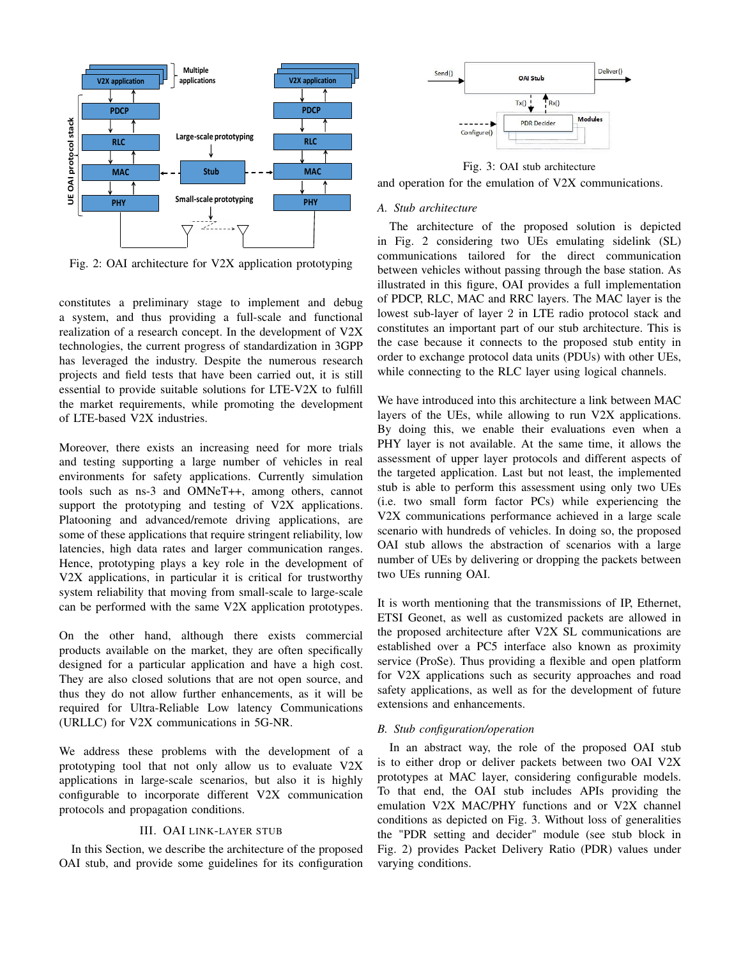

Fig. 2: OAI architecture for V2X application prototyping

constitutes a preliminary stage to implement and debug a system, and thus providing a full-scale and functional realization of a research concept. In the development of V2X technologies, the current progress of standardization in 3GPP has leveraged the industry. Despite the numerous research projects and field tests that have been carried out, it is still essential to provide suitable solutions for LTE-V2X to fulfill the market requirements, while promoting the development of LTE-based V2X industries.

Moreover, there exists an increasing need for more trials and testing supporting a large number of vehicles in real environments for safety applications. Currently simulation tools such as ns-3 and OMNeT++, among others, cannot support the prototyping and testing of V2X applications. Platooning and advanced/remote driving applications, are some of these applications that require stringent reliability, low latencies, high data rates and larger communication ranges. Hence, prototyping plays a key role in the development of V2X applications, in particular it is critical for trustworthy system reliability that moving from small-scale to large-scale can be performed with the same V2X application prototypes.

On the other hand, although there exists commercial products available on the market, they are often specifically designed for a particular application and have a high cost. They are also closed solutions that are not open source, and thus they do not allow further enhancements, as it will be required for Ultra-Reliable Low latency Communications (URLLC) for V2X communications in 5G-NR.

We address these problems with the development of a prototyping tool that not only allow us to evaluate V2X applications in large-scale scenarios, but also it is highly configurable to incorporate different V2X communication protocols and propagation conditions.

## III. OAI LINK-LAYER STUB

In this Section, we describe the architecture of the proposed OAI stub, and provide some guidelines for its configuration



Fig. 3: OAI stub architecture

and operation for the emulation of V2X communications.

## *A. Stub architecture*

The architecture of the proposed solution is depicted in Fig. 2 considering two UEs emulating sidelink (SL) communications tailored for the direct communication between vehicles without passing through the base station. As illustrated in this figure, OAI provides a full implementation of PDCP, RLC, MAC and RRC layers. The MAC layer is the lowest sub-layer of layer 2 in LTE radio protocol stack and constitutes an important part of our stub architecture. This is the case because it connects to the proposed stub entity in order to exchange protocol data units (PDUs) with other UEs, while connecting to the RLC layer using logical channels.

We have introduced into this architecture a link between MAC layers of the UEs, while allowing to run V2X applications. By doing this, we enable their evaluations even when a PHY layer is not available. At the same time, it allows the assessment of upper layer protocols and different aspects of the targeted application. Last but not least, the implemented stub is able to perform this assessment using only two UEs (i.e. two small form factor PCs) while experiencing the V2X communications performance achieved in a large scale scenario with hundreds of vehicles. In doing so, the proposed OAI stub allows the abstraction of scenarios with a large number of UEs by delivering or dropping the packets between two UEs running OAI.

It is worth mentioning that the transmissions of IP, Ethernet, ETSI Geonet, as well as customized packets are allowed in the proposed architecture after V2X SL communications are established over a PC5 interface also known as proximity service (ProSe). Thus providing a flexible and open platform for V2X applications such as security approaches and road safety applications, as well as for the development of future extensions and enhancements.

#### *B. Stub configuration/operation*

In an abstract way, the role of the proposed OAI stub is to either drop or deliver packets between two OAI V2X prototypes at MAC layer, considering configurable models. To that end, the OAI stub includes APIs providing the emulation V2X MAC/PHY functions and or V2X channel conditions as depicted on Fig. 3. Without loss of generalities the "PDR setting and decider" module (see stub block in Fig. 2) provides Packet Delivery Ratio (PDR) values under varying conditions.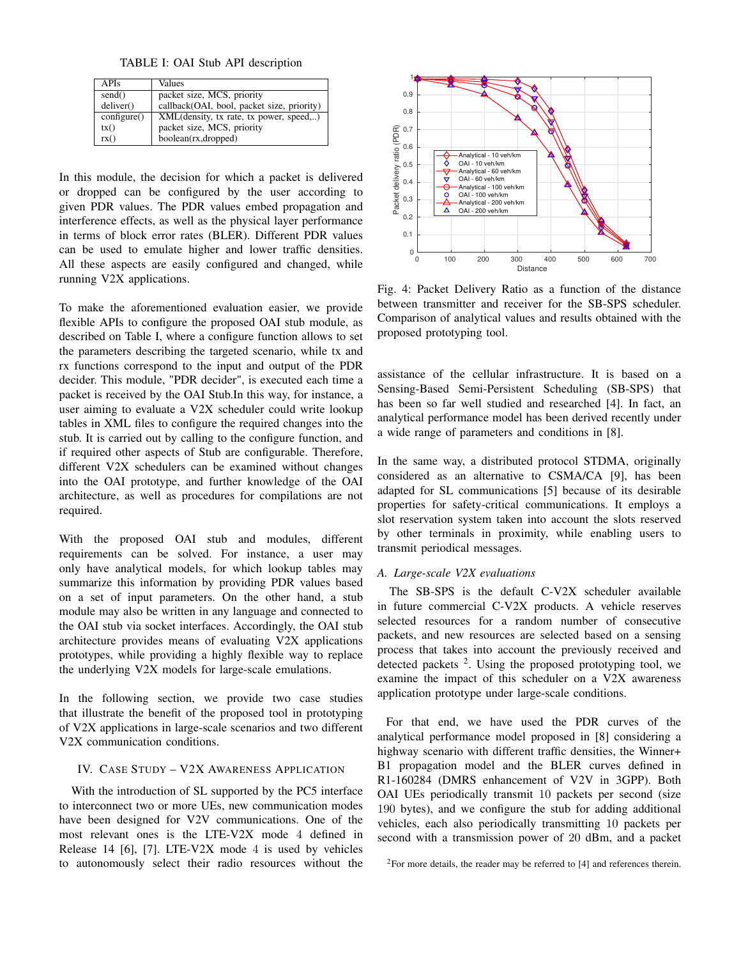TABLE I: OAI Stub API description

| <b>APIs</b>          | Values                                     |
|----------------------|--------------------------------------------|
| send()               | packet size, MCS, priority                 |
| deliver()            | callback(OAI, bool, packet size, priority) |
| $\text{configure}()$ | XML(density, tx rate, tx power, speed,)    |
| tx()                 | packet size, MCS, priority                 |
| rx()                 | boolean(rx,dropped)                        |

In this module, the decision for which a packet is delivered or dropped can be configured by the user according to given PDR values. The PDR values embed propagation and interference effects, as well as the physical layer performance in terms of block error rates (BLER). Different PDR values can be used to emulate higher and lower traffic densities. All these aspects are easily configured and changed, while running V2X applications.

To make the aforementioned evaluation easier, we provide flexible APIs to configure the proposed OAI stub module, as described on Table I, where a configure function allows to set the parameters describing the targeted scenario, while tx and rx functions correspond to the input and output of the PDR decider. This module, "PDR decider", is executed each time a packet is received by the OAI Stub.In this way, for instance, a user aiming to evaluate a V2X scheduler could write lookup tables in XML files to configure the required changes into the stub. It is carried out by calling to the configure function, and if required other aspects of Stub are configurable. Therefore, different V2X schedulers can be examined without changes into the OAI prototype, and further knowledge of the OAI architecture, as well as procedures for compilations are not required.

With the proposed OAI stub and modules, different requirements can be solved. For instance, a user may only have analytical models, for which lookup tables may summarize this information by providing PDR values based on a set of input parameters. On the other hand, a stub module may also be written in any language and connected to the OAI stub via socket interfaces. Accordingly, the OAI stub architecture provides means of evaluating V2X applications prototypes, while providing a highly flexible way to replace the underlying V2X models for large-scale emulations.

In the following section, we provide two case studies that illustrate the benefit of the proposed tool in prototyping of V2X applications in large-scale scenarios and two different V2X communication conditions.

#### IV. CASE STUDY – V2X AWARENESS APPLICATION

With the introduction of SL supported by the PC5 interface to interconnect two or more UEs, new communication modes have been designed for V2V communications. One of the most relevant ones is the LTE-V2X mode 4 defined in Release 14 [6], [7]. LTE-V2X mode 4 is used by vehicles to autonomously select their radio resources without the



Fig. 4: Packet Delivery Ratio as a function of the distance between transmitter and receiver for the SB-SPS scheduler. Comparison of analytical values and results obtained with the proposed prototyping tool.

assistance of the cellular infrastructure. It is based on a Sensing-Based Semi-Persistent Scheduling (SB-SPS) that has been so far well studied and researched [4]. In fact, an analytical performance model has been derived recently under a wide range of parameters and conditions in [8].

In the same way, a distributed protocol STDMA, originally considered as an alternative to CSMA/CA [9], has been adapted for SL communications [5] because of its desirable properties for safety-critical communications. It employs a slot reservation system taken into account the slots reserved by other terminals in proximity, while enabling users to transmit periodical messages.

## *A. Large-scale V2X evaluations*

The SB-SPS is the default C-V2X scheduler available in future commercial C-V2X products. A vehicle reserves selected resources for a random number of consecutive packets, and new resources are selected based on a sensing process that takes into account the previously received and detected packets <sup>2</sup>. Using the proposed prototyping tool, we examine the impact of this scheduler on a V2X awareness application prototype under large-scale conditions.

For that end, we have used the PDR curves of the analytical performance model proposed in [8] considering a highway scenario with different traffic densities, the Winner+ B1 propagation model and the BLER curves defined in R1-160284 (DMRS enhancement of V2V in 3GPP). Both OAI UEs periodically transmit 10 packets per second (size 190 bytes), and we configure the stub for adding additional vehicles, each also periodically transmitting 10 packets per second with a transmission power of 20 dBm, and a packet

 $2$ For more details, the reader may be referred to [4] and references therein.